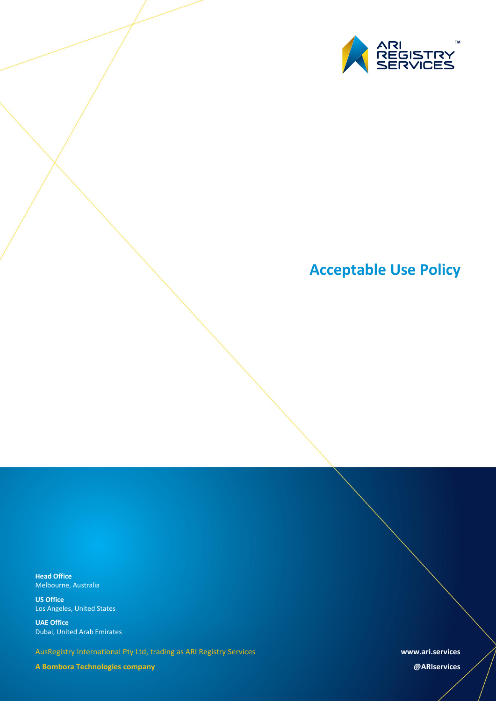

# **Acceptable Use Policy**

**Head Office** Melbourne, Australia

**US Office** Los Angeles, United States

**UAE Office** Dubai, United Arab Emirates

AusRegistry International Pty Ltd, trading as ARI Registry Services

**A Bombora Technologies company**

**www.ari.services**

**@ARIservices**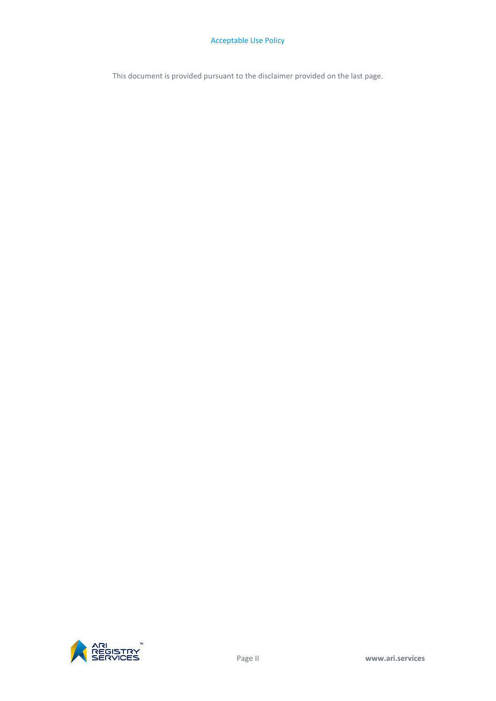This document is provided pursuant to the disclaimer provided on the last page.

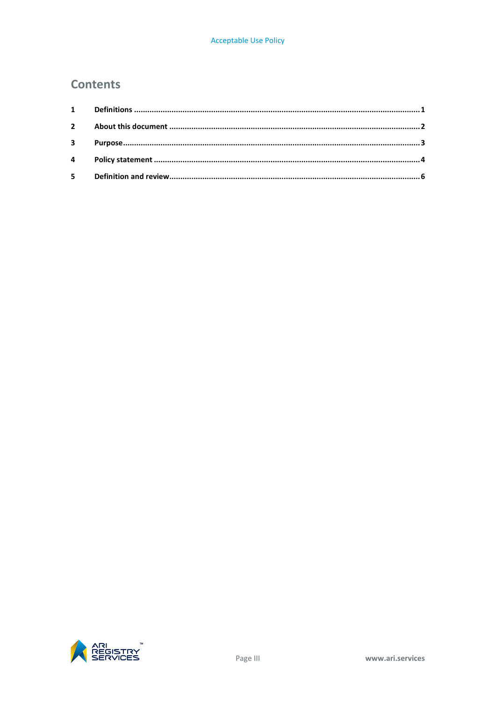### **Contents**

| $3^{\circ}$ |  |
|-------------|--|
|             |  |
|             |  |

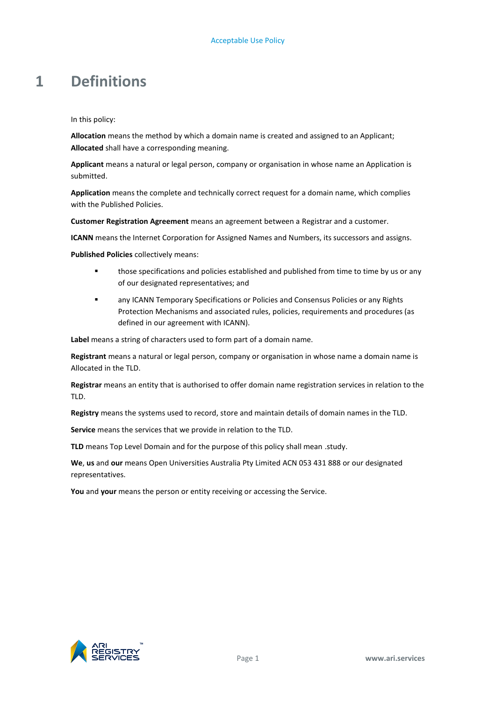### <span id="page-4-0"></span>**1 Definitions**

In this policy:

**Allocation** means the method by which a domain name is created and assigned to an Applicant; **Allocated** shall have a corresponding meaning.

**Applicant** means a natural or legal person, company or organisation in whose name an Application is submitted.

**Application** means the complete and technically correct request for a domain name, which complies with the Published Policies.

**Customer Registration Agreement** means an agreement between a Registrar and a customer.

**ICANN** means the Internet Corporation for Assigned Names and Numbers, its successors and assigns.

**Published Policies** collectively means:

- **those specifications and policies established and published from time to time by us or any** of our designated representatives; and
- any ICANN Temporary Specifications or Policies and Consensus Policies or any Rights Protection Mechanisms and associated rules, policies, requirements and procedures (as defined in our agreement with ICANN).

**Label** means a string of characters used to form part of a domain name.

**Registrant** means a natural or legal person, company or organisation in whose name a domain name is Allocated in the TLD.

**Registrar** means an entity that is authorised to offer domain name registration services in relation to the TLD.

**Registry** means the systems used to record, store and maintain details of domain names in the TLD.

**Service** means the services that we provide in relation to the TLD.

**TLD** means Top Level Domain and for the purpose of this policy shall mean .study.

**We**, **us** and **our** means Open Universities Australia Pty Limited ACN 053 431 888 or our designated representatives.

**You** and **your** means the person or entity receiving or accessing the Service.

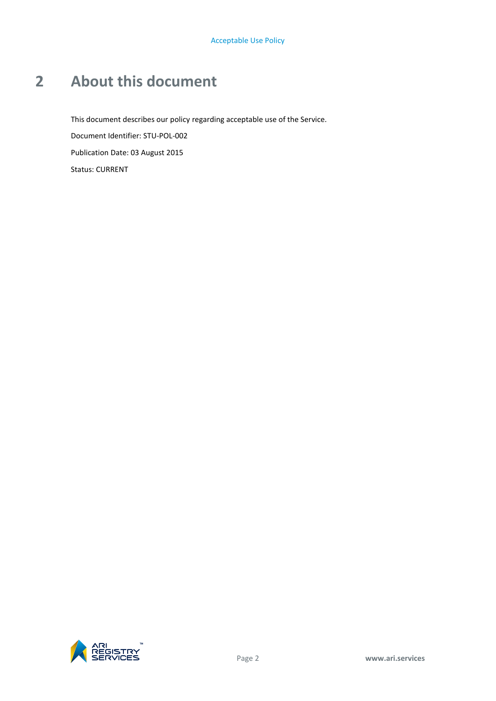## <span id="page-5-0"></span>**2 About this document**

This document describes our policy regarding acceptable use of the Service. Document Identifier: STU-POL-002 Publication Date: 03 August 2015 Status: CURRENT

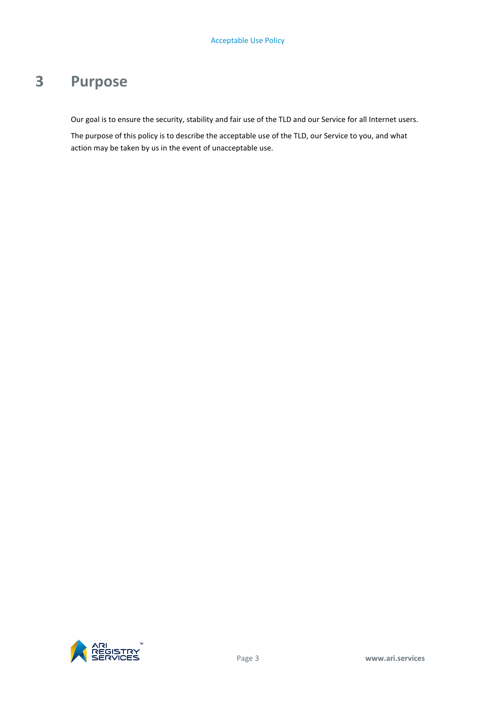### <span id="page-6-0"></span>**3 Purpose**

Our goal is to ensure the security, stability and fair use of the TLD and our Service for all Internet users.

The purpose of this policy is to describe the acceptable use of the TLD, our Service to you, and what action may be taken by us in the event of unacceptable use.

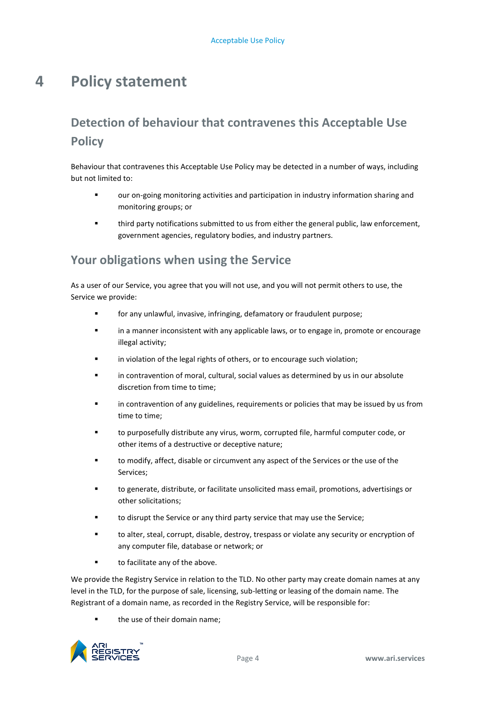### <span id="page-7-0"></span>**4 Policy statement**

### **Detection of behaviour that contravenes this Acceptable Use Policy**

Behaviour that contravenes this Acceptable Use Policy may be detected in a number of ways, including but not limited to:

- our on-going monitoring activities and participation in industry information sharing and monitoring groups; or
- third party notifications submitted to us from either the general public, law enforcement, government agencies, regulatory bodies, and industry partners.

### **Your obligations when using the Service**

As a user of our Service, you agree that you will not use, and you will not permit others to use, the Service we provide:

- for any unlawful, invasive, infringing, defamatory or fraudulent purpose;
- in a manner inconsistent with any applicable laws, or to engage in, promote or encourage illegal activity;
- **Example 1** in violation of the legal rights of others, or to encourage such violation;
- in contravention of moral, cultural, social values as determined by us in our absolute discretion from time to time;
- in contravention of any guidelines, requirements or policies that may be issued by us from time to time;
- to purposefully distribute any virus, worm, corrupted file, harmful computer code, or other items of a destructive or deceptive nature;
- to modify, affect, disable or circumvent any aspect of the Services or the use of the Services;
- to generate, distribute, or facilitate unsolicited mass email, promotions, advertisings or other solicitations;
- to disrupt the Service or any third party service that may use the Service;
- to alter, steal, corrupt, disable, destroy, trespass or violate any security or encryption of any computer file, database or network; or
- **to facilitate any of the above.**

We provide the Registry Service in relation to the TLD. No other party may create domain names at any level in the TLD, for the purpose of sale, licensing, sub-letting or leasing of the domain name. The Registrant of a domain name, as recorded in the Registry Service, will be responsible for:

**the use of their domain name;** 

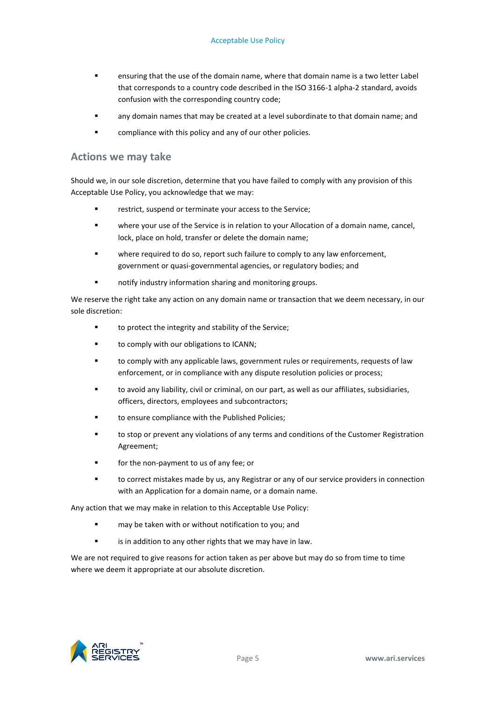- ensuring that the use of the domain name, where that domain name is a two letter Label that corresponds to a country code described in the ISO 3166-1 alpha-2 standard, avoids confusion with the corresponding country code;
- any domain names that may be created at a level subordinate to that domain name; and
- **EXECOM** compliance with this policy and any of our other policies.

#### **Actions we may take**

Should we, in our sole discretion, determine that you have failed to comply with any provision of this Acceptable Use Policy, you acknowledge that we may:

- restrict, suspend or terminate your access to the Service;
- where your use of the Service is in relation to your Allocation of a domain name, cancel, lock, place on hold, transfer or delete the domain name;
- where required to do so, report such failure to comply to any law enforcement, government or quasi-governmental agencies, or regulatory bodies; and
- **number 1** and if yindustry information sharing and monitoring groups.

We reserve the right take any action on any domain name or transaction that we deem necessary, in our sole discretion:

- to protect the integrity and stability of the Service;
- **to comply with our obligations to ICANN;**
- to comply with any applicable laws, government rules or requirements, requests of law enforcement, or in compliance with any dispute resolution policies or process;
- to avoid any liability, civil or criminal, on our part, as well as our affiliates, subsidiaries, officers, directors, employees and subcontractors;
- to ensure compliance with the Published Policies;
- to stop or prevent any violations of any terms and conditions of the Customer Registration Agreement;
- for the non-payment to us of any fee; or
- to correct mistakes made by us, any Registrar or any of our service providers in connection with an Application for a domain name, or a domain name.

Any action that we may make in relation to this Acceptable Use Policy:

- **E** may be taken with or without notification to you; and
- **Example 1** is in addition to any other rights that we may have in law.

We are not required to give reasons for action taken as per above but may do so from time to time where we deem it appropriate at our absolute discretion.

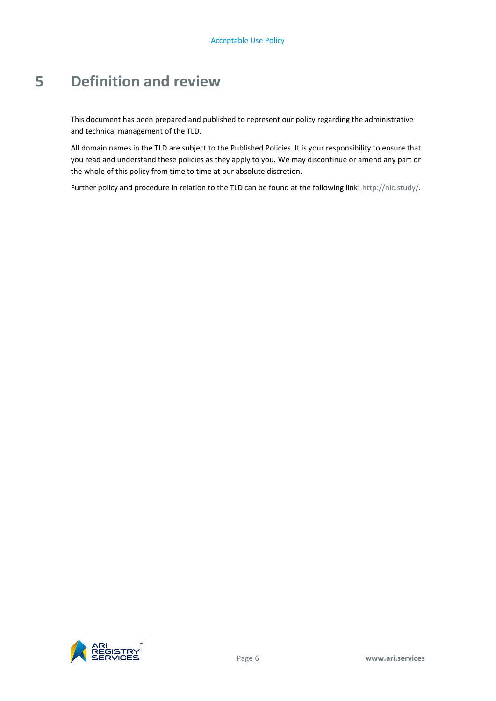### <span id="page-9-0"></span>**5 Definition and review**

This document has been prepared and published to represent our policy regarding the administrative and technical management of the TLD.

All domain names in the TLD are subject to the Published Policies. It is your responsibility to ensure that you read and understand these policies as they apply to you. We may discontinue or amend any part or the whole of this policy from time to time at our absolute discretion.

Further policy and procedure in relation to the TLD can be found at the following link[: http://nic.study/.](http://nic.study/)

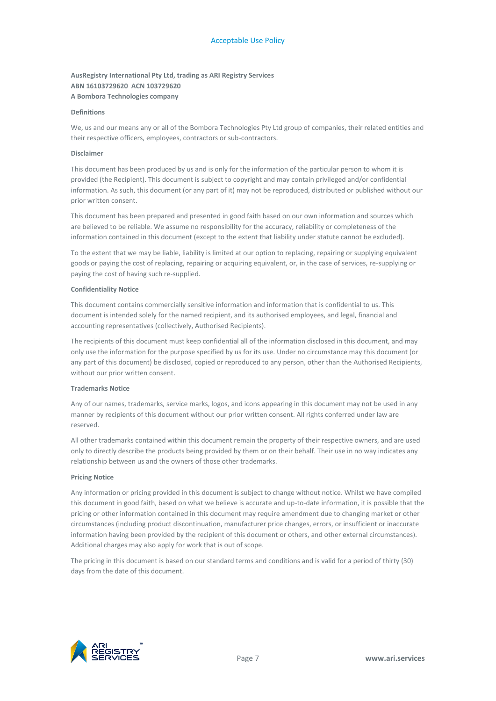#### **AusRegistry International Pty Ltd, trading as ARI Registry Services ABN 16103729620 ACN 103729620 A Bombora Technologies company**

#### **Definitions**

We, us and our means any or all of the Bombora Technologies Pty Ltd group of companies, their related entities and their respective officers, employees, contractors or sub-contractors.

#### **Disclaimer**

This document has been produced by us and is only for the information of the particular person to whom it is provided (the Recipient). This document is subject to copyright and may contain privileged and/or confidential information. As such, this document (or any part of it) may not be reproduced, distributed or published without our prior written consent.

This document has been prepared and presented in good faith based on our own information and sources which are believed to be reliable. We assume no responsibility for the accuracy, reliability or completeness of the information contained in this document (except to the extent that liability under statute cannot be excluded).

To the extent that we may be liable, liability is limited at our option to replacing, repairing or supplying equivalent goods or paying the cost of replacing, repairing or acquiring equivalent, or, in the case of services, re-supplying or paying the cost of having such re-supplied.

#### **Confidentiality Notice**

This document contains commercially sensitive information and information that is confidential to us. This document is intended solely for the named recipient, and its authorised employees, and legal, financial and accounting representatives (collectively, Authorised Recipients).

The recipients of this document must keep confidential all of the information disclosed in this document, and may only use the information for the purpose specified by us for its use. Under no circumstance may this document (or any part of this document) be disclosed, copied or reproduced to any person, other than the Authorised Recipients, without our prior written consent.

#### **Trademarks Notice**

Any of our names, trademarks, service marks, logos, and icons appearing in this document may not be used in any manner by recipients of this document without our prior written consent. All rights conferred under law are reserved.

All other trademarks contained within this document remain the property of their respective owners, and are used only to directly describe the products being provided by them or on their behalf. Their use in no way indicates any relationship between us and the owners of those other trademarks.

#### **Pricing Notice**

Any information or pricing provided in this document is subject to change without notice. Whilst we have compiled this document in good faith, based on what we believe is accurate and up-to-date information, it is possible that the pricing or other information contained in this document may require amendment due to changing market or other circumstances (including product discontinuation, manufacturer price changes, errors, or insufficient or inaccurate information having been provided by the recipient of this document or others, and other external circumstances). Additional charges may also apply for work that is out of scope.

The pricing in this document is based on our standard terms and conditions and is valid for a period of thirty (30) days from the date of this document.